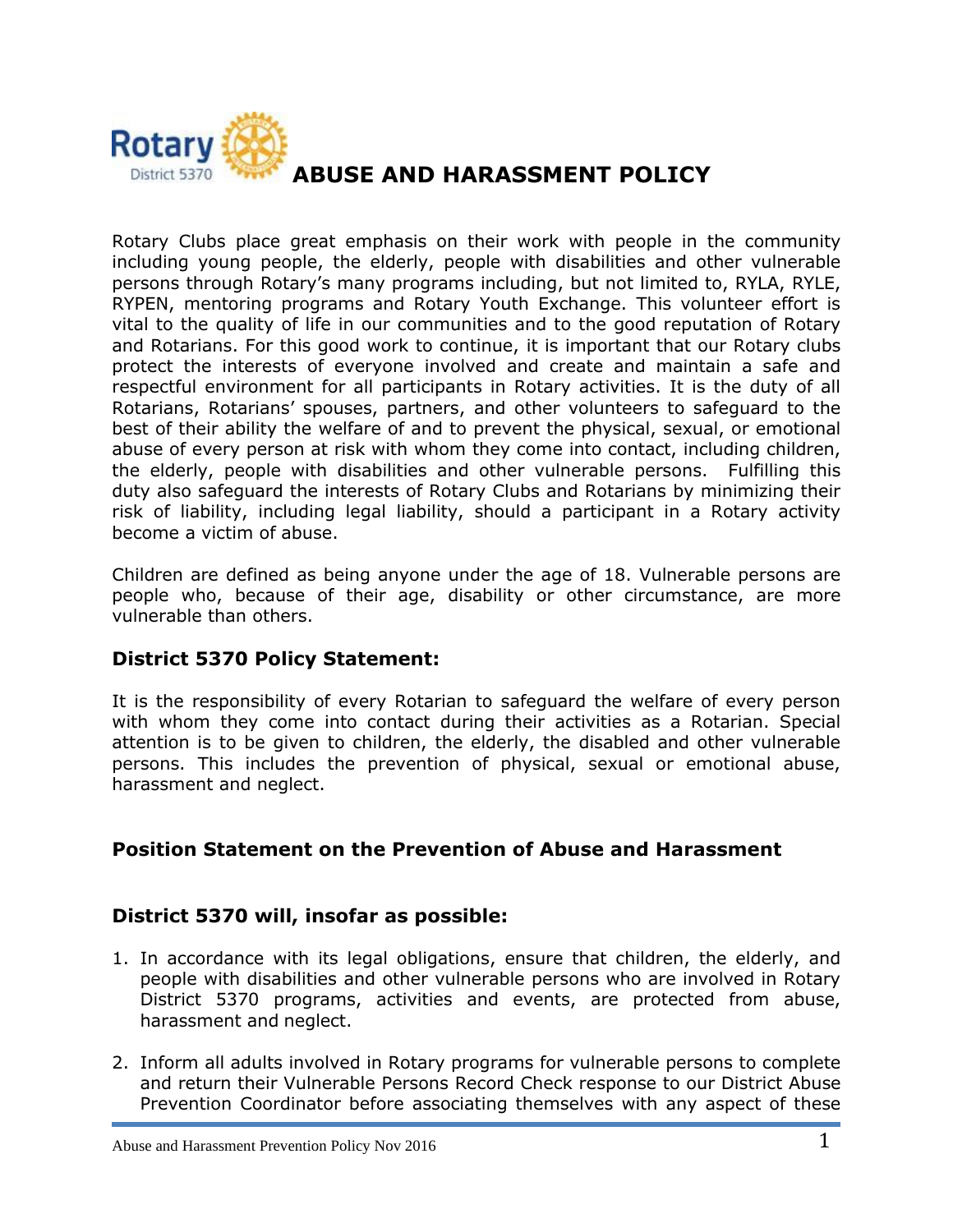

Rotary Clubs place great emphasis on their work with people in the community including young people, the elderly, people with disabilities and other vulnerable persons through Rotary's many programs including, but not limited to, RYLA, RYLE, RYPEN, mentoring programs and Rotary Youth Exchange. This volunteer effort is vital to the quality of life in our communities and to the good reputation of Rotary and Rotarians. For this good work to continue, it is important that our Rotary clubs protect the interests of everyone involved and create and maintain a safe and respectful environment for all participants in Rotary activities. It is the duty of all Rotarians, Rotarians' spouses, partners, and other volunteers to safeguard to the best of their ability the welfare of and to prevent the physical, sexual, or emotional abuse of every person at risk with whom they come into contact, including children, the elderly, people with disabilities and other vulnerable persons. Fulfilling this duty also safeguard the interests of Rotary Clubs and Rotarians by minimizing their risk of liability, including legal liability, should a participant in a Rotary activity become a victim of abuse.

Children are defined as being anyone under the age of 18. Vulnerable persons are people who, because of their age, disability or other circumstance, are more vulnerable than others.

# **District 5370 Policy Statement:**

It is the responsibility of every Rotarian to safeguard the welfare of every person with whom they come into contact during their activities as a Rotarian. Special attention is to be given to children, the elderly, the disabled and other vulnerable persons. This includes the prevention of physical, sexual or emotional abuse, harassment and neglect.

# **Position Statement on the Prevention of Abuse and Harassment**

## **District 5370 will, insofar as possible:**

- 1. In accordance with its legal obligations, ensure that children, the elderly, and people with disabilities and other vulnerable persons who are involved in Rotary District 5370 programs, activities and events, are protected from abuse, harassment and neglect.
- 2. Inform all adults involved in Rotary programs for vulnerable persons to complete and return their Vulnerable Persons Record Check response to our District Abuse Prevention Coordinator before associating themselves with any aspect of these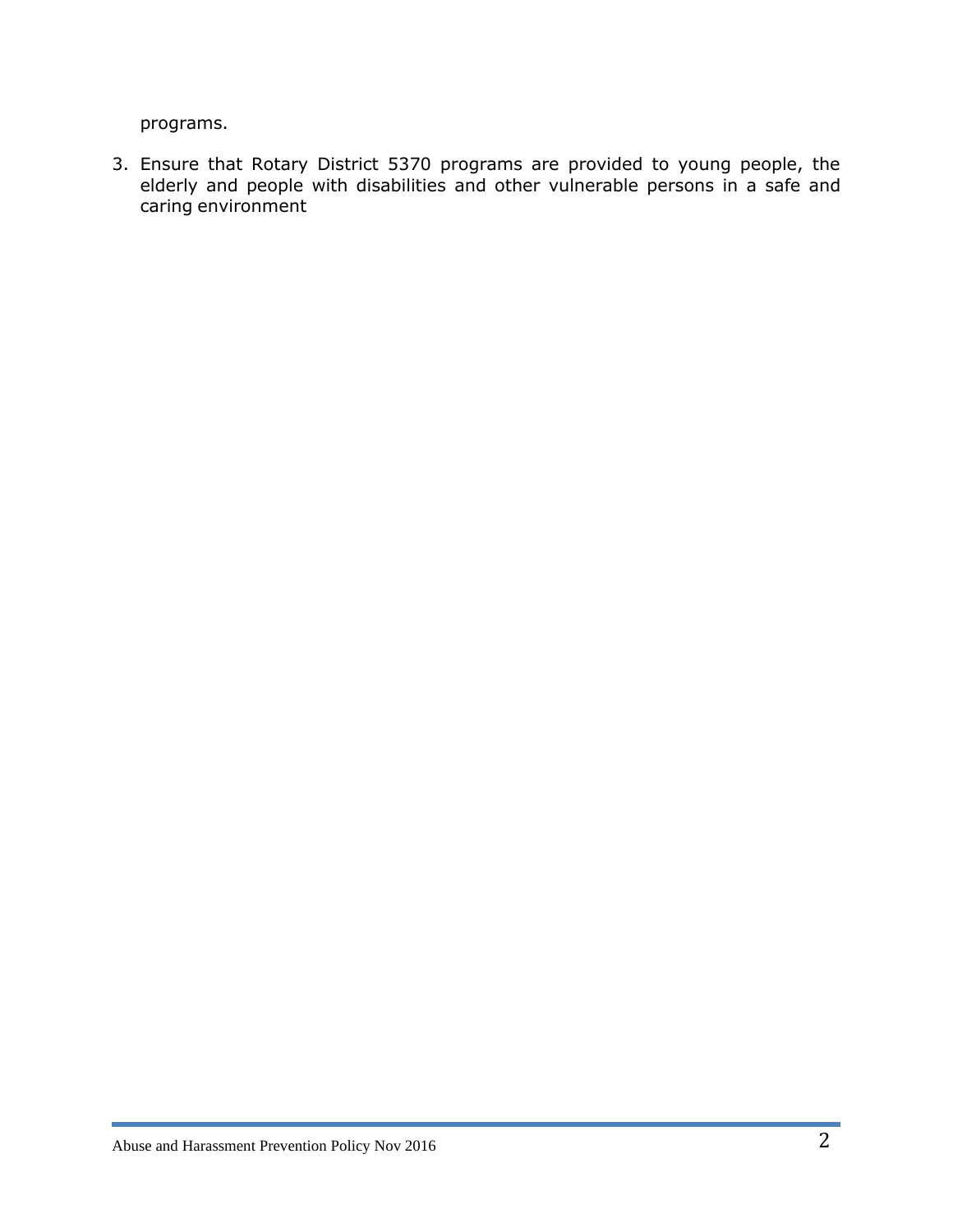programs.

3. Ensure that Rotary District 5370 programs are provided to young people, the elderly and people with disabilities and other vulnerable persons in a safe and caring environment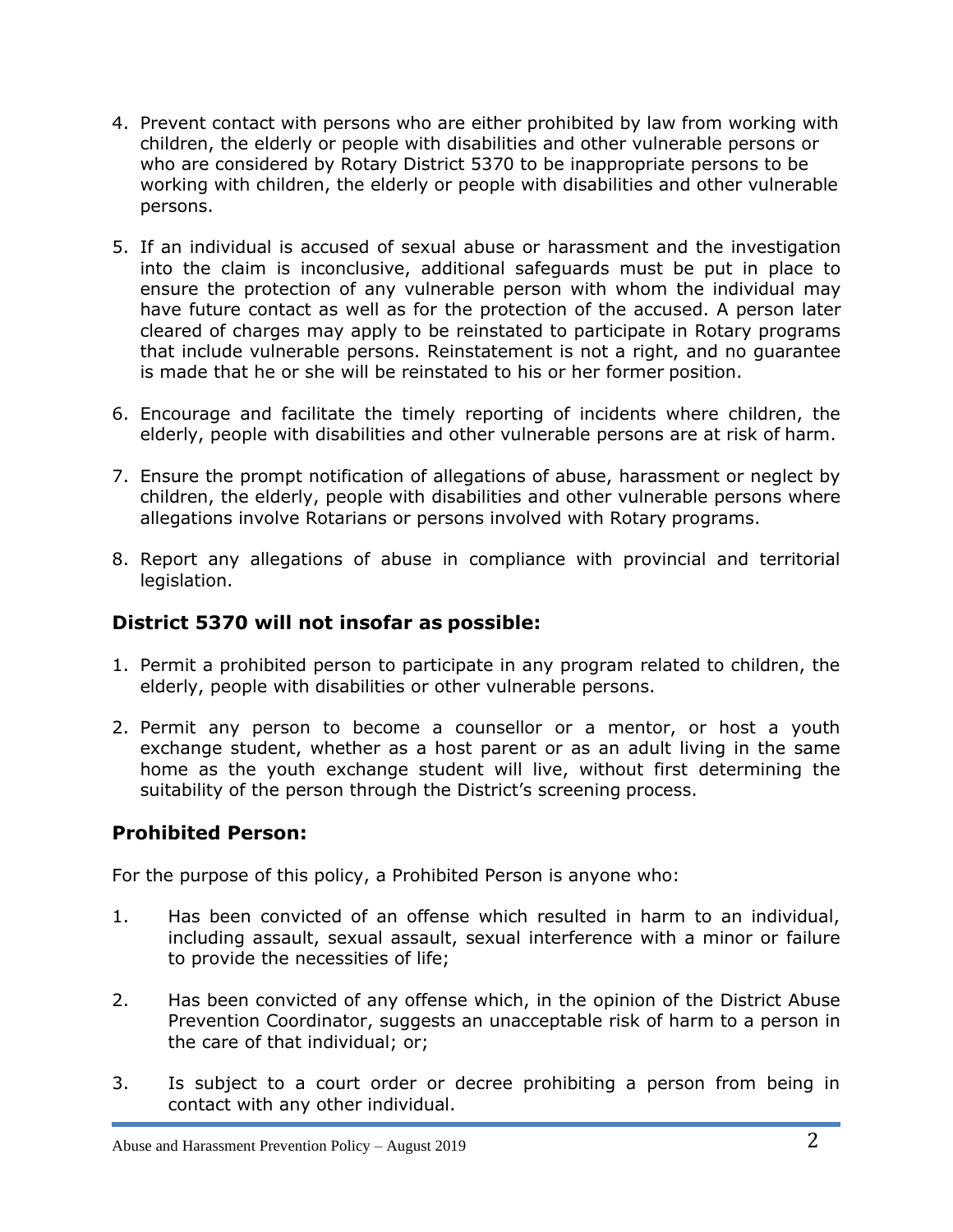- 4. Prevent contact with persons who are either prohibited by law from working with children, the elderly or people with disabilities and other vulnerable persons or who are considered by Rotary District 5370 to be inappropriate persons to be working with children, the elderly or people with disabilities and other vulnerable persons.
- 5. If an individual is accused of sexual abuse or harassment and the investigation into the claim is inconclusive, additional safeguards must be put in place to ensure the protection of any vulnerable person with whom the individual may have future contact as well as for the protection of the accused. A person later cleared of charges may apply to be reinstated to participate in Rotary programs that include vulnerable persons. Reinstatement is not a right, and no guarantee is made that he or she will be reinstated to his or her former position.
- 6. Encourage and facilitate the timely reporting of incidents where children, the elderly, people with disabilities and other vulnerable persons are at risk of harm.
- 7. Ensure the prompt notification of allegations of abuse, harassment or neglect by children, the elderly, people with disabilities and other vulnerable persons where allegations involve Rotarians or persons involved with Rotary programs.
- 8. Report any allegations of abuse in compliance with provincial and territorial legislation.

# **District 5370 will not insofar as possible:**

- 1. Permit a prohibited person to participate in any program related to children, the elderly, people with disabilities or other vulnerable persons.
- 2. Permit any person to become a counsellor or a mentor, or host a youth exchange student, whether as a host parent or as an adult living in the same home as the youth exchange student will live, without first determining the suitability of the person through the District's screening process.

## **Prohibited Person:**

For the purpose of this policy, a Prohibited Person is anyone who:

- 1. Has been convicted of an offense which resulted in harm to an individual, including assault, sexual assault, sexual interference with a minor or failure to provide the necessities of life;
- 2. Has been convicted of any offense which, in the opinion of the District Abuse Prevention Coordinator, suggests an unacceptable risk of harm to a person in the care of that individual; or;
- 3. Is subject to a court order or decree prohibiting a person from being in contact with any other individual.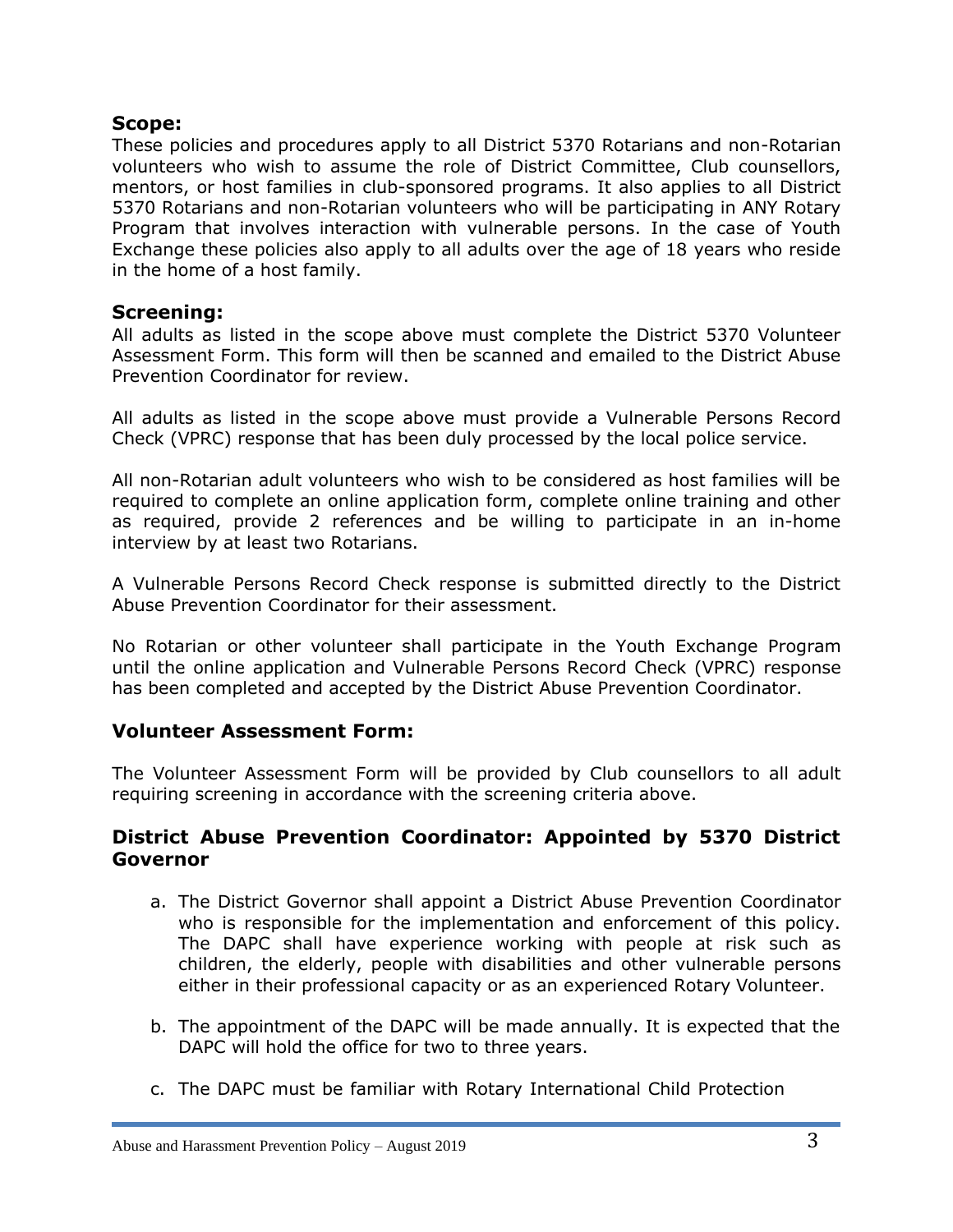### **Scope:**

These policies and procedures apply to all District 5370 Rotarians and non-Rotarian volunteers who wish to assume the role of District Committee, Club counsellors, mentors, or host families in club-sponsored programs. It also applies to all District 5370 Rotarians and non-Rotarian volunteers who will be participating in ANY Rotary Program that involves interaction with vulnerable persons. In the case of Youth Exchange these policies also apply to all adults over the age of 18 years who reside in the home of a host family.

#### **Screening:**

All adults as listed in the scope above must complete the District 5370 Volunteer Assessment Form. This form will then be scanned and emailed to the District Abuse Prevention Coordinator for review.

All adults as listed in the scope above must provide a Vulnerable Persons Record Check (VPRC) response that has been duly processed by the local police service.

All non-Rotarian adult volunteers who wish to be considered as host families will be required to complete an online application form, complete online training and other as required, provide 2 references and be willing to participate in an in-home interview by at least two Rotarians.

A Vulnerable Persons Record Check response is submitted directly to the District Abuse Prevention Coordinator for their assessment.

No Rotarian or other volunteer shall participate in the Youth Exchange Program until the online application and Vulnerable Persons Record Check (VPRC) response has been completed and accepted by the District Abuse Prevention Coordinator.

## **Volunteer Assessment Form:**

The Volunteer Assessment Form will be provided by Club counsellors to all adult requiring screening in accordance with the screening criteria above.

## **District Abuse Prevention Coordinator: Appointed by 5370 District Governor**

- a. The District Governor shall appoint a District Abuse Prevention Coordinator who is responsible for the implementation and enforcement of this policy. The DAPC shall have experience working with people at risk such as children, the elderly, people with disabilities and other vulnerable persons either in their professional capacity or as an experienced Rotary Volunteer.
- b. The appointment of the DAPC will be made annually. It is expected that the DAPC will hold the office for two to three years.
- c. The DAPC must be familiar with Rotary International Child Protection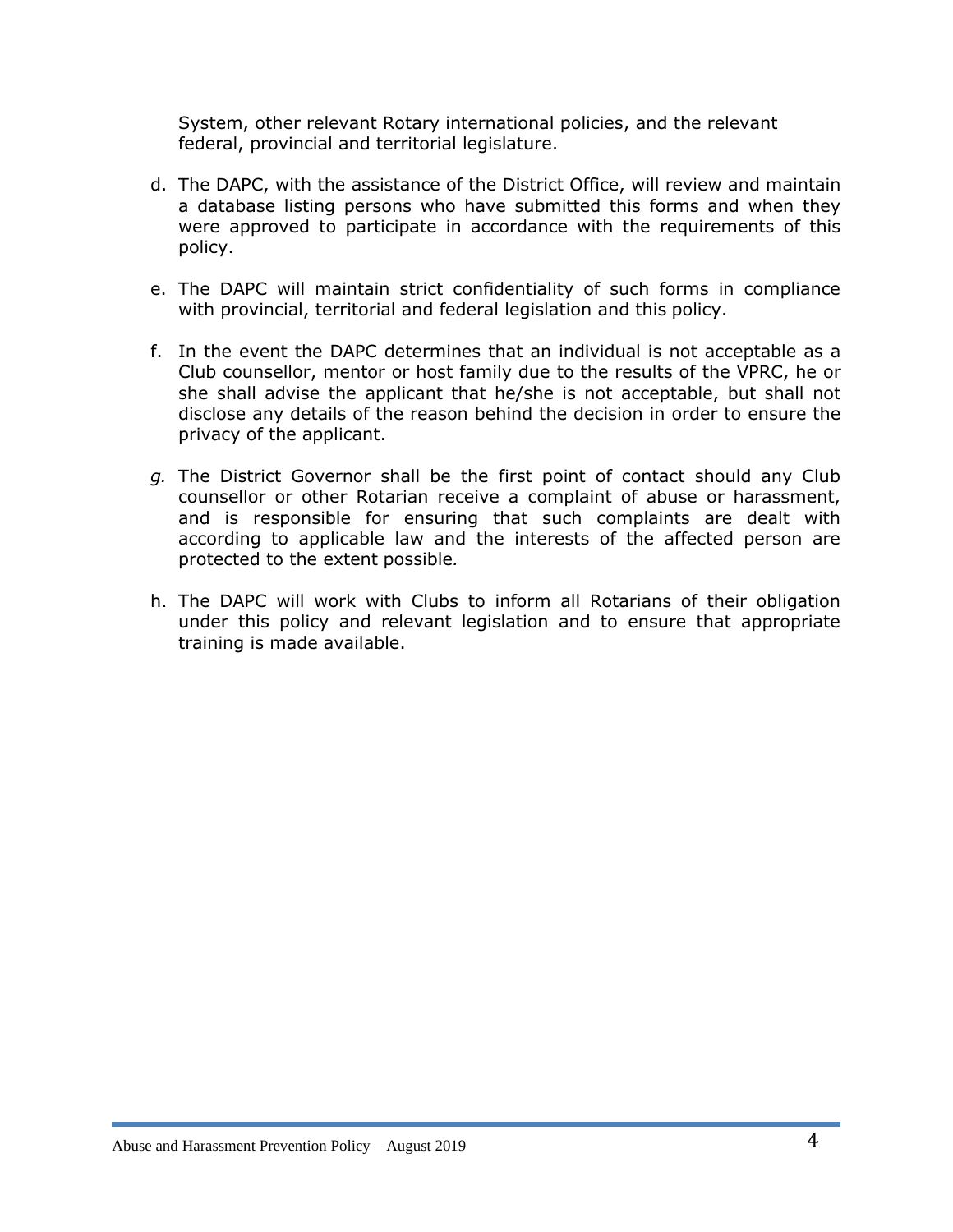System, other relevant Rotary international policies, and the relevant federal, provincial and territorial legislature.

- d. The DAPC, with the assistance of the District Office, will review and maintain a database listing persons who have submitted this forms and when they were approved to participate in accordance with the requirements of this policy.
- e. The DAPC will maintain strict confidentiality of such forms in compliance with provincial, territorial and federal legislation and this policy.
- f. In the event the DAPC determines that an individual is not acceptable as a Club counsellor, mentor or host family due to the results of the VPRC, he or she shall advise the applicant that he/she is not acceptable, but shall not disclose any details of the reason behind the decision in order to ensure the privacy of the applicant.
- *g.* The District Governor shall be the first point of contact should any Club counsellor or other Rotarian receive a complaint of abuse or harassment, and is responsible for ensuring that such complaints are dealt with according to applicable law and the interests of the affected person are protected to the extent possible*.*
- h. The DAPC will work with Clubs to inform all Rotarians of their obligation under this policy and relevant legislation and to ensure that appropriate training is made available.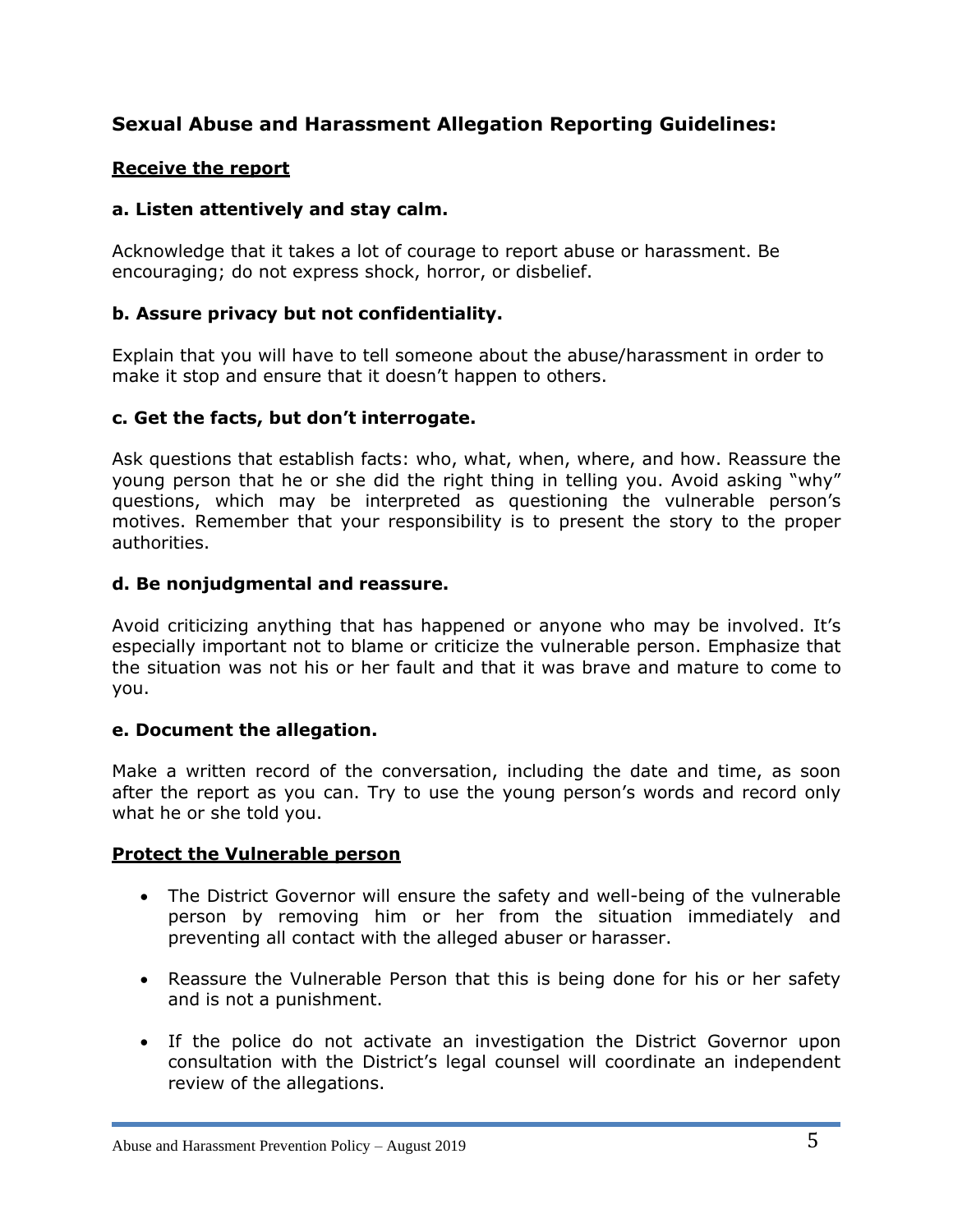# **Sexual Abuse and Harassment Allegation Reporting Guidelines:**

## **Receive the report**

### **a. Listen attentively and stay calm.**

Acknowledge that it takes a lot of courage to report abuse or harassment. Be encouraging; do not express shock, horror, or disbelief.

#### **b. Assure privacy but not confidentiality.**

Explain that you will have to tell someone about the abuse/harassment in order to make it stop and ensure that it doesn't happen to others.

## **c. Get the facts, but don't interrogate.**

Ask questions that establish facts: who, what, when, where, and how. Reassure the young person that he or she did the right thing in telling you. Avoid asking "why" questions, which may be interpreted as questioning the vulnerable person's motives. Remember that your responsibility is to present the story to the proper authorities.

#### **d. Be nonjudgmental and reassure.**

Avoid criticizing anything that has happened or anyone who may be involved. It's especially important not to blame or criticize the vulnerable person. Emphasize that the situation was not his or her fault and that it was brave and mature to come to you.

#### **e. Document the allegation.**

Make a written record of the conversation, including the date and time, as soon after the report as you can. Try to use the young person's words and record only what he or she told you.

#### **Protect the Vulnerable person**

- The District Governor will ensure the safety and well-being of the vulnerable person by removing him or her from the situation immediately and preventing all contact with the alleged abuser or harasser.
- Reassure the Vulnerable Person that this is being done for his or her safety and is not a punishment.
- If the police do not activate an investigation the District Governor upon consultation with the District's legal counsel will coordinate an independent review of the allegations.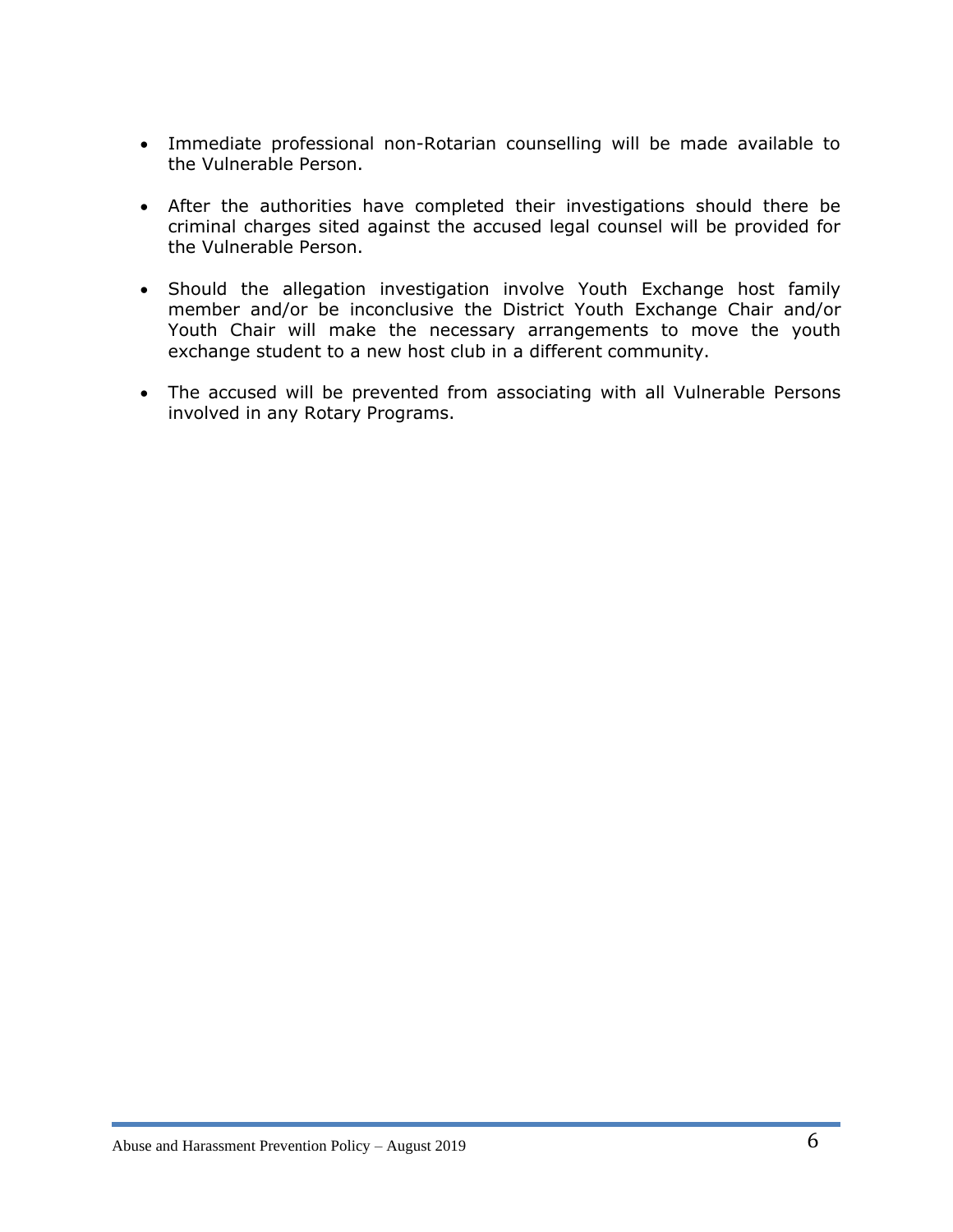- Immediate professional non-Rotarian counselling will be made available to the Vulnerable Person.
- After the authorities have completed their investigations should there be criminal charges sited against the accused legal counsel will be provided for the Vulnerable Person.
- Should the allegation investigation involve Youth Exchange host family member and/or be inconclusive the District Youth Exchange Chair and/or Youth Chair will make the necessary arrangements to move the youth exchange student to a new host club in a different community.
- The accused will be prevented from associating with all Vulnerable Persons involved in any Rotary Programs.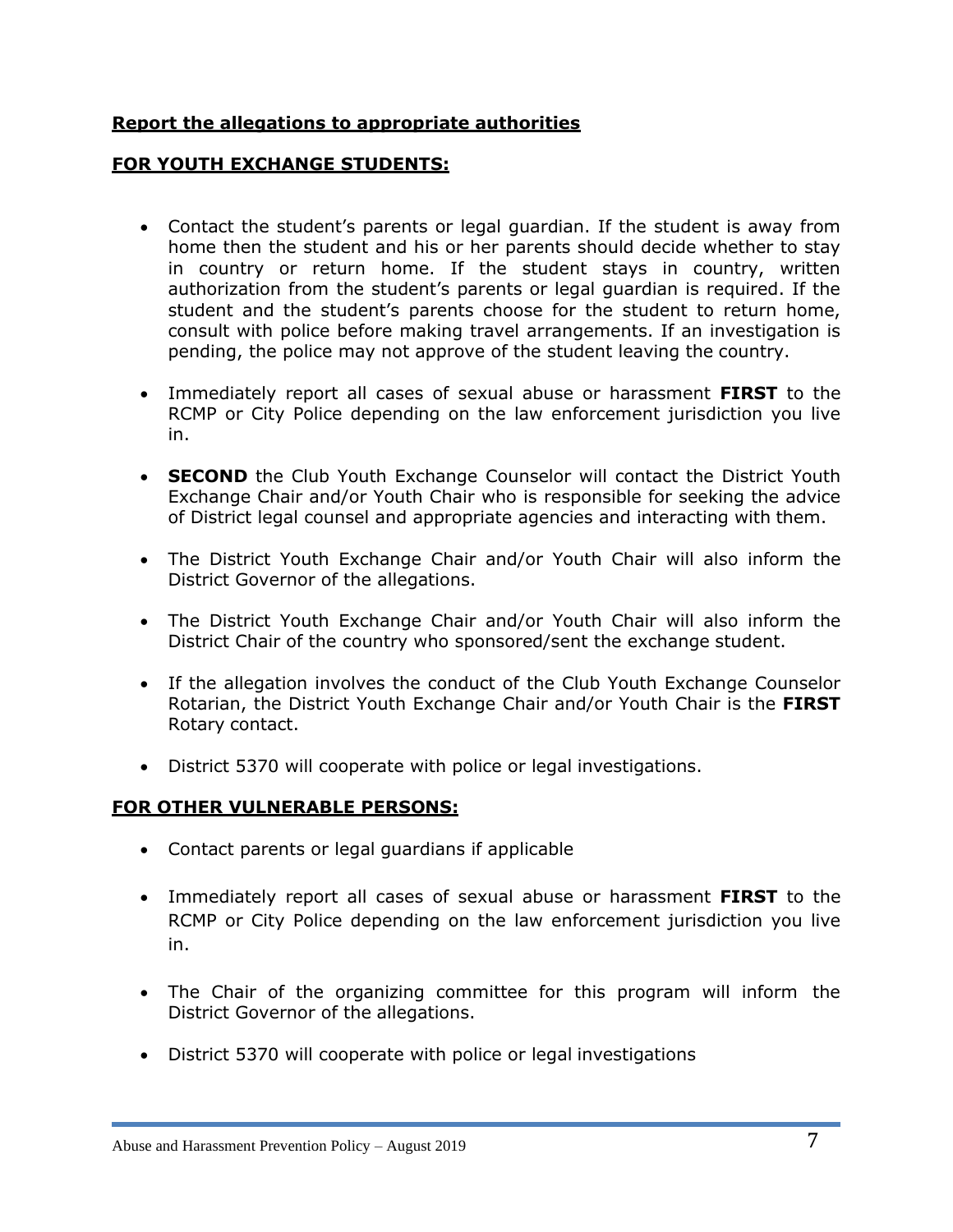## **Report the allegations to appropriate authorities**

### **FOR YOUTH EXCHANGE STUDENTS:**

- Contact the student's parents or legal guardian. If the student is away from home then the student and his or her parents should decide whether to stay in country or return home. If the student stays in country, written authorization from the student's parents or legal guardian is required. If the student and the student's parents choose for the student to return home, consult with police before making travel arrangements. If an investigation is pending, the police may not approve of the student leaving the country.
- Immediately report all cases of sexual abuse or harassment **FIRST** to the RCMP or City Police depending on the law enforcement jurisdiction you live in.
- **SECOND** the Club Youth Exchange Counselor will contact the District Youth Exchange Chair and/or Youth Chair who is responsible for seeking the advice of District legal counsel and appropriate agencies and interacting with them.
- The District Youth Exchange Chair and/or Youth Chair will also inform the District Governor of the allegations.
- The District Youth Exchange Chair and/or Youth Chair will also inform the District Chair of the country who sponsored/sent the exchange student.
- If the allegation involves the conduct of the Club Youth Exchange Counselor Rotarian, the District Youth Exchange Chair and/or Youth Chair is the **FIRST**  Rotary contact.
- District 5370 will cooperate with police or legal investigations.

#### **FOR OTHER VULNERABLE PERSONS:**

- Contact parents or legal guardians if applicable
- Immediately report all cases of sexual abuse or harassment **FIRST** to the RCMP or City Police depending on the law enforcement jurisdiction you live in.
- The Chair of the organizing committee for this program will inform the District Governor of the allegations.
- District 5370 will cooperate with police or legal investigations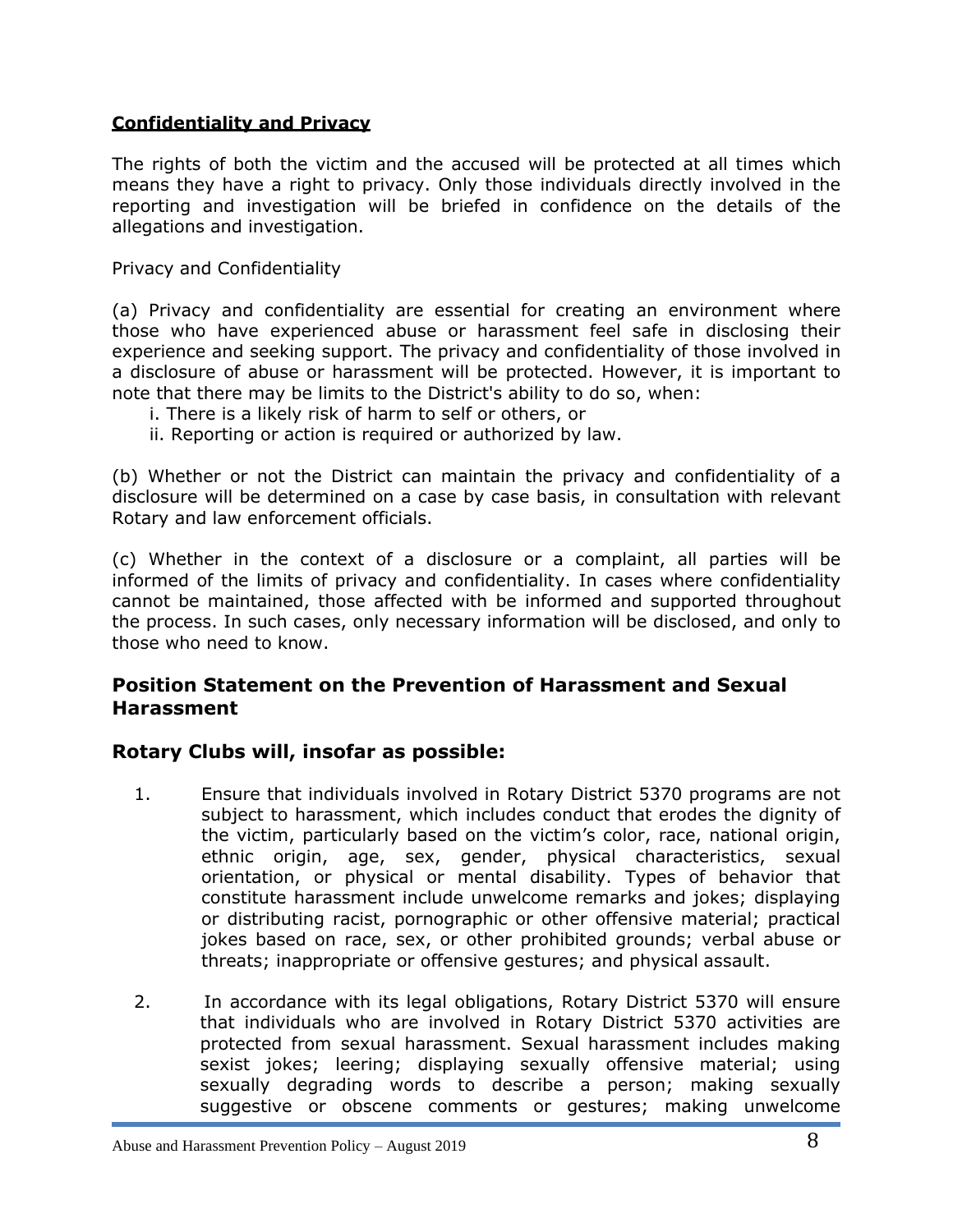#### **Confidentiality and Privacy**

The rights of both the victim and the accused will be protected at all times which means they have a right to privacy. Only those individuals directly involved in the reporting and investigation will be briefed in confidence on the details of the allegations and investigation.

Privacy and Confidentiality

(a) Privacy and confidentiality are essential for creating an environment where those who have experienced abuse or harassment feel safe in disclosing their experience and seeking support. The privacy and confidentiality of those involved in a disclosure of abuse or harassment will be protected. However, it is important to note that there may be limits to the District's ability to do so, when:

- i. There is a likely risk of harm to self or others, or
- ii. Reporting or action is required or authorized by law.

(b) Whether or not the District can maintain the privacy and confidentiality of a disclosure will be determined on a case by case basis, in consultation with relevant Rotary and law enforcement officials.

(c) Whether in the context of a disclosure or a complaint, all parties will be informed of the limits of privacy and confidentiality. In cases where confidentiality cannot be maintained, those affected with be informed and supported throughout the process. In such cases, only necessary information will be disclosed, and only to those who need to know.

## **Position Statement on the Prevention of Harassment and Sexual Harassment**

## **Rotary Clubs will, insofar as possible:**

- 1. Ensure that individuals involved in Rotary District 5370 programs are not subject to harassment, which includes conduct that erodes the dignity of the victim, particularly based on the victim's color, race, national origin, ethnic origin, age, sex, gender, physical characteristics, sexual orientation, or physical or mental disability. Types of behavior that constitute harassment include unwelcome remarks and jokes; displaying or distributing racist, pornographic or other offensive material; practical jokes based on race, sex, or other prohibited grounds; verbal abuse or threats; inappropriate or offensive gestures; and physical assault.
- 2. In accordance with its legal obligations, Rotary District 5370 will ensure that individuals who are involved in Rotary District 5370 activities are protected from sexual harassment. Sexual harassment includes making sexist jokes; leering; displaying sexually offensive material; using sexually degrading words to describe a person; making sexually suggestive or obscene comments or gestures; making unwelcome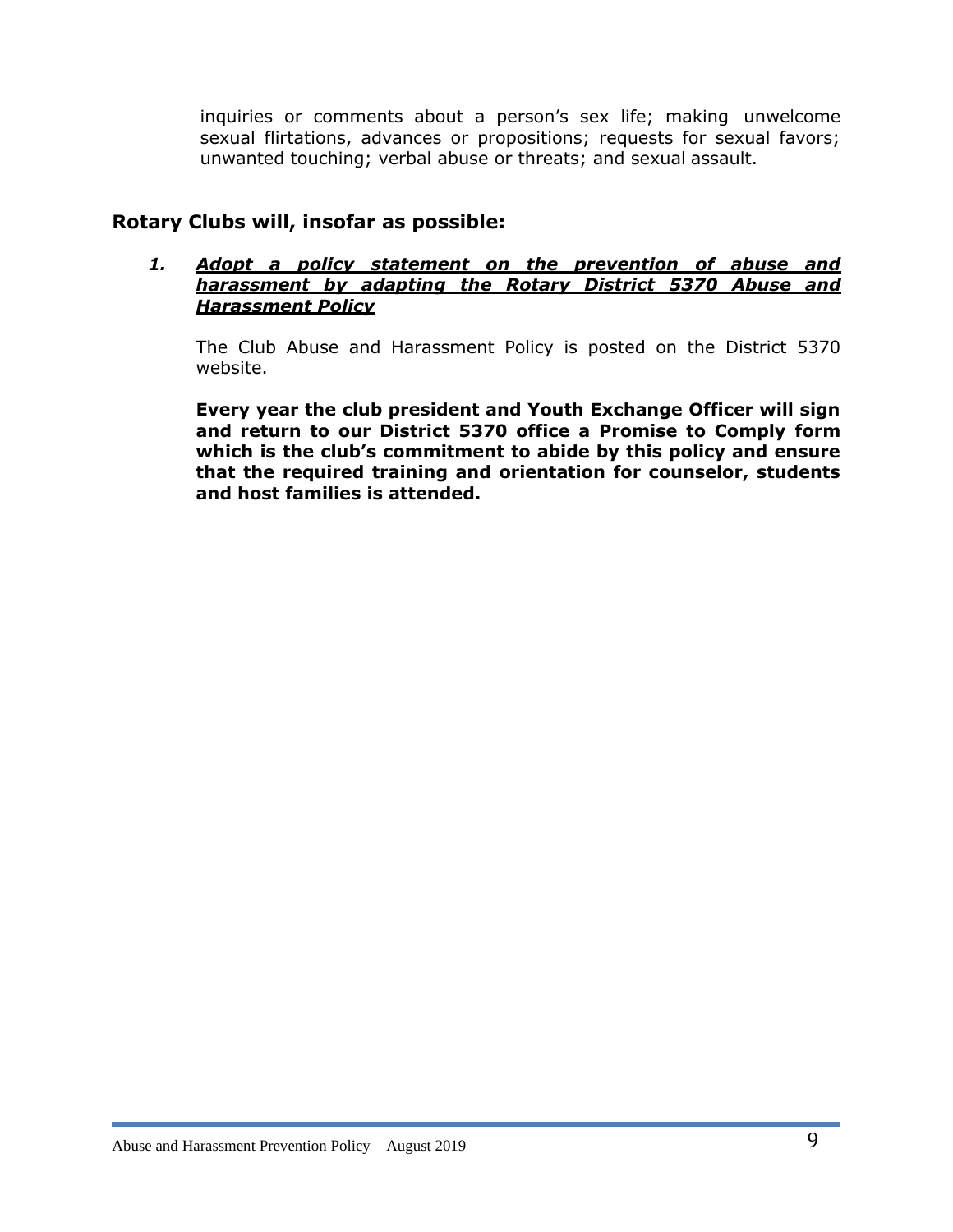inquiries or comments about a person's sex life; making unwelcome sexual flirtations, advances or propositions; requests for sexual favors; unwanted touching; verbal abuse or threats; and sexual assault.

## **Rotary Clubs will, insofar as possible:**

#### *1. Adopt a policy statement on the prevention of abuse and harassment by adapting the Rotary District 5370 Abuse and Harassment Policy*

The Club Abuse and Harassment Policy is posted on the District 5370 website.

**Every year the club president and Youth Exchange Officer will sign and return to our District 5370 office a Promise to Comply form which is the club's commitment to abide by this policy and ensure that the required training and orientation for counselor, students and host families is attended.**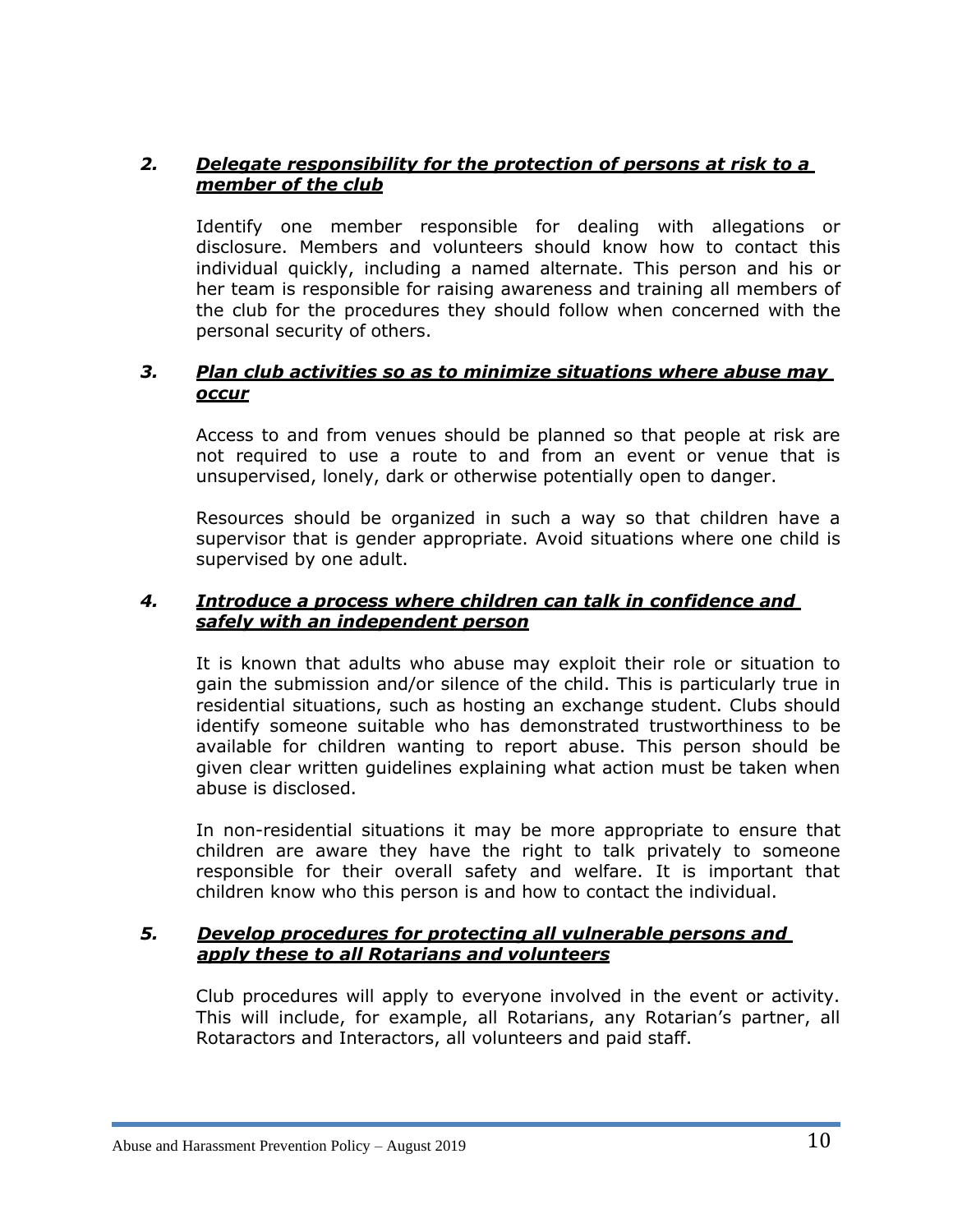## *2. Delegate responsibility for the protection of persons at risk to a member of the club*

Identify one member responsible for dealing with allegations or disclosure. Members and volunteers should know how to contact this individual quickly, including a named alternate. This person and his or her team is responsible for raising awareness and training all members of the club for the procedures they should follow when concerned with the personal security of others.

### *3. Plan club activities so as to minimize situations where abuse may occur*

Access to and from venues should be planned so that people at risk are not required to use a route to and from an event or venue that is unsupervised, lonely, dark or otherwise potentially open to danger.

Resources should be organized in such a way so that children have a supervisor that is gender appropriate. Avoid situations where one child is supervised by one adult.

#### *4. Introduce a process where children can talk in confidence and safely with an independent person*

It is known that adults who abuse may exploit their role or situation to gain the submission and/or silence of the child. This is particularly true in residential situations, such as hosting an exchange student. Clubs should identify someone suitable who has demonstrated trustworthiness to be available for children wanting to report abuse. This person should be given clear written guidelines explaining what action must be taken when abuse is disclosed.

In non-residential situations it may be more appropriate to ensure that children are aware they have the right to talk privately to someone responsible for their overall safety and welfare. It is important that children know who this person is and how to contact the individual.

#### *5. Develop procedures for protecting all vulnerable persons and apply these to all Rotarians and volunteers*

Club procedures will apply to everyone involved in the event or activity. This will include, for example, all Rotarians, any Rotarian's partner, all Rotaractors and Interactors, all volunteers and paid staff.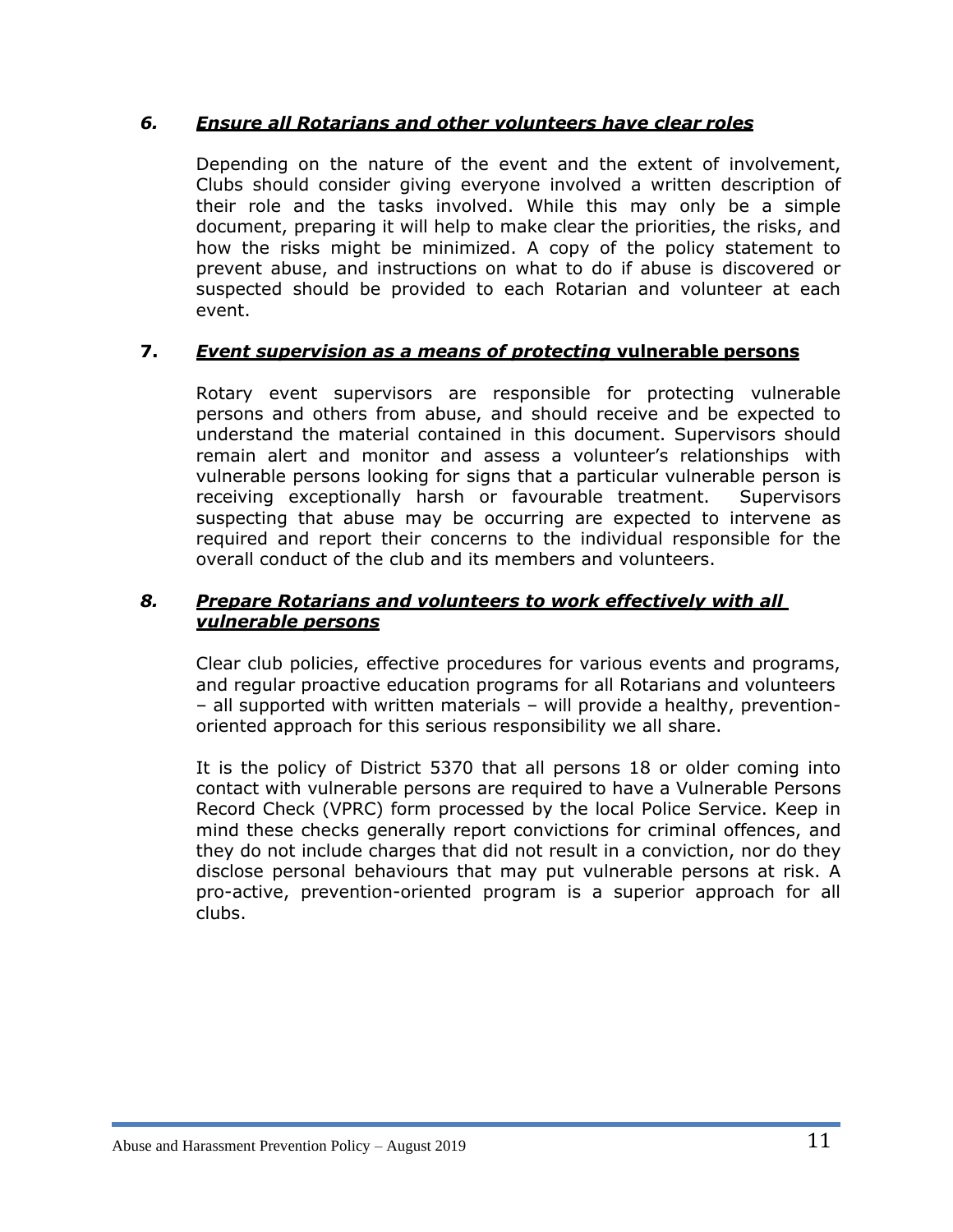#### *6. Ensure all Rotarians and other volunteers have clear roles*

Depending on the nature of the event and the extent of involvement, Clubs should consider giving everyone involved a written description of their role and the tasks involved. While this may only be a simple document, preparing it will help to make clear the priorities, the risks, and how the risks might be minimized. A copy of the policy statement to prevent abuse, and instructions on what to do if abuse is discovered or suspected should be provided to each Rotarian and volunteer at each event.

## **7.** *Event supervision as a means of protecting* **vulnerable persons**

Rotary event supervisors are responsible for protecting vulnerable persons and others from abuse, and should receive and be expected to understand the material contained in this document. Supervisors should remain alert and monitor and assess a volunteer's relationships with vulnerable persons looking for signs that a particular vulnerable person is receiving exceptionally harsh or favourable treatment. Supervisors suspecting that abuse may be occurring are expected to intervene as required and report their concerns to the individual responsible for the overall conduct of the club and its members and volunteers.

#### *8. Prepare Rotarians and volunteers to work effectively with all vulnerable persons*

Clear club policies, effective procedures for various events and programs, and regular proactive education programs for all Rotarians and volunteers – all supported with written materials – will provide a healthy, preventionoriented approach for this serious responsibility we all share.

It is the policy of District 5370 that all persons 18 or older coming into contact with vulnerable persons are required to have a Vulnerable Persons Record Check (VPRC) form processed by the local Police Service. Keep in mind these checks generally report convictions for criminal offences, and they do not include charges that did not result in a conviction, nor do they disclose personal behaviours that may put vulnerable persons at risk. A pro-active, prevention-oriented program is a superior approach for all clubs.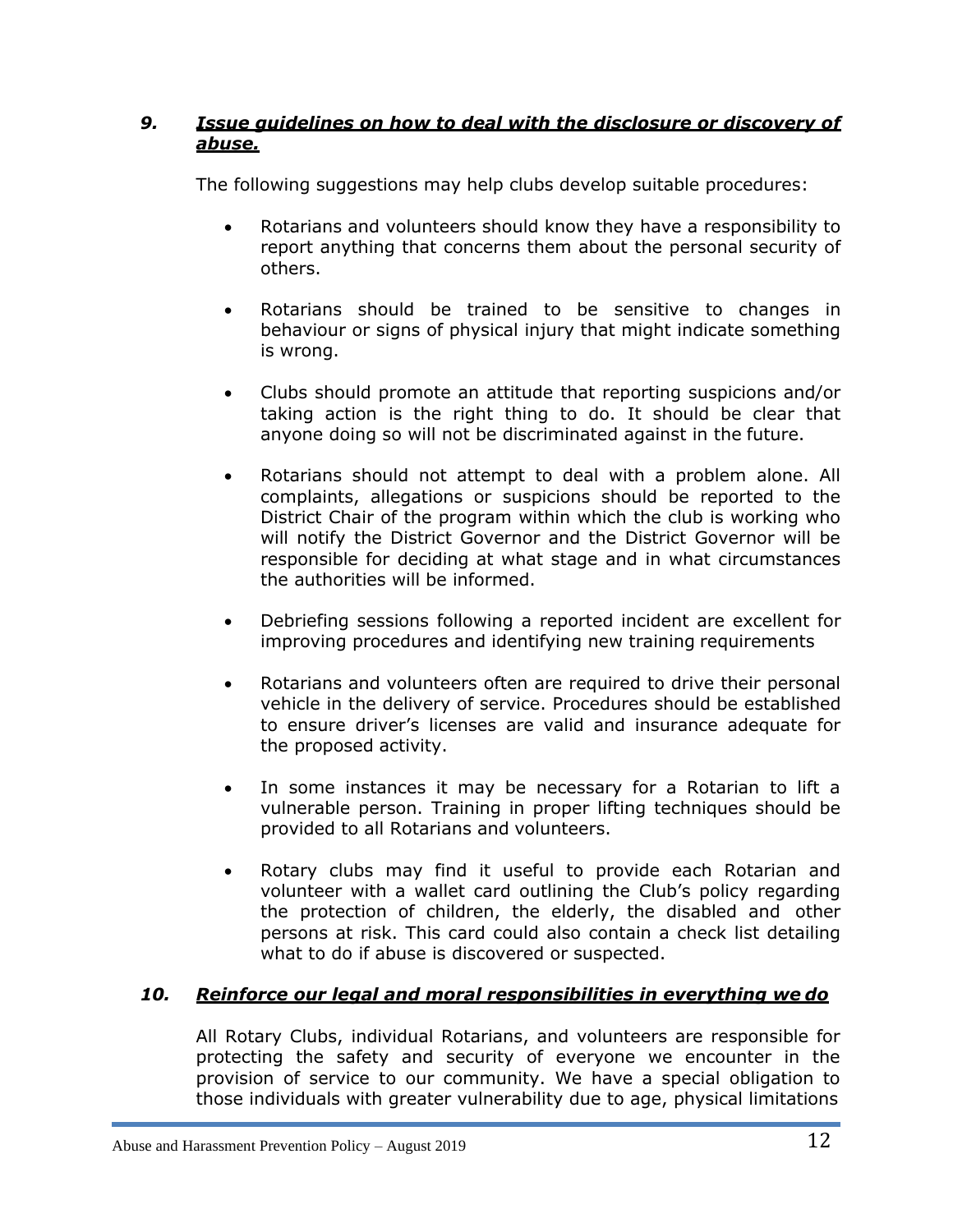## *9. Issue guidelines on how to deal with the disclosure or discovery of abuse.*

The following suggestions may help clubs develop suitable procedures:

- Rotarians and volunteers should know they have a responsibility to report anything that concerns them about the personal security of others.
- Rotarians should be trained to be sensitive to changes in behaviour or signs of physical injury that might indicate something is wrong.
- Clubs should promote an attitude that reporting suspicions and/or taking action is the right thing to do. It should be clear that anyone doing so will not be discriminated against in the future.
- Rotarians should not attempt to deal with a problem alone. All complaints, allegations or suspicions should be reported to the District Chair of the program within which the club is working who will notify the District Governor and the District Governor will be responsible for deciding at what stage and in what circumstances the authorities will be informed.
- Debriefing sessions following a reported incident are excellent for improving procedures and identifying new training requirements
- Rotarians and volunteers often are required to drive their personal vehicle in the delivery of service. Procedures should be established to ensure driver's licenses are valid and insurance adequate for the proposed activity.
- In some instances it may be necessary for a Rotarian to lift a vulnerable person. Training in proper lifting techniques should be provided to all Rotarians and volunteers.
- Rotary clubs may find it useful to provide each Rotarian and volunteer with a wallet card outlining the Club's policy regarding the protection of children, the elderly, the disabled and other persons at risk. This card could also contain a check list detailing what to do if abuse is discovered or suspected.

# *10. Reinforce our legal and moral responsibilities in everything we do*

All Rotary Clubs, individual Rotarians, and volunteers are responsible for protecting the safety and security of everyone we encounter in the provision of service to our community. We have a special obligation to those individuals with greater vulnerability due to age, physical limitations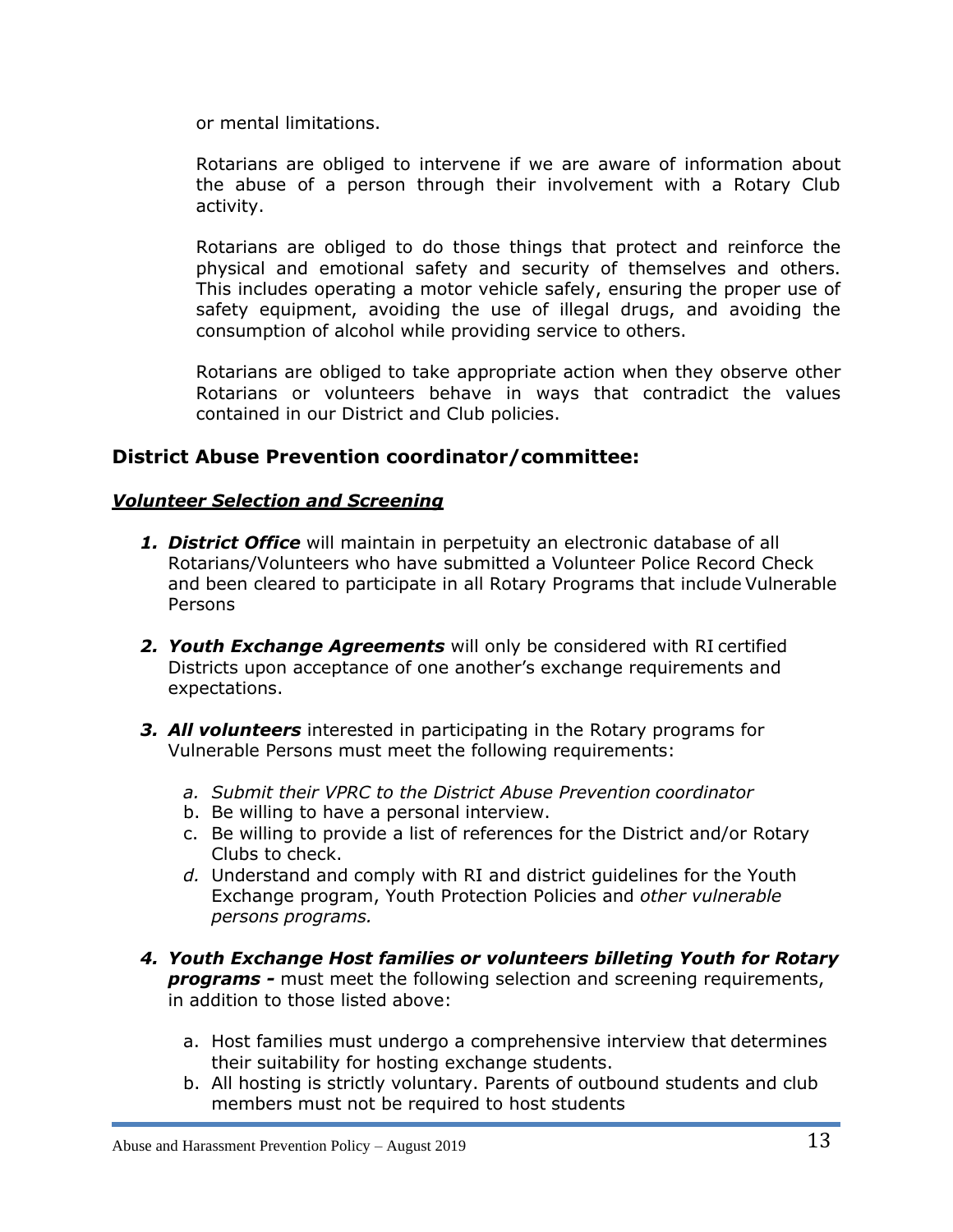or mental limitations.

Rotarians are obliged to intervene if we are aware of information about the abuse of a person through their involvement with a Rotary Club activity.

Rotarians are obliged to do those things that protect and reinforce the physical and emotional safety and security of themselves and others. This includes operating a motor vehicle safely, ensuring the proper use of safety equipment, avoiding the use of illegal drugs, and avoiding the consumption of alcohol while providing service to others.

Rotarians are obliged to take appropriate action when they observe other Rotarians or volunteers behave in ways that contradict the values contained in our District and Club policies.

## **District Abuse Prevention coordinator/committee:**

## *Volunteer Selection and Screening*

- *1. District Office* will maintain in perpetuity an electronic database of all Rotarians/Volunteers who have submitted a Volunteer Police Record Check and been cleared to participate in all Rotary Programs that include Vulnerable Persons
- *2. Youth Exchange Agreements* will only be considered with RI certified Districts upon acceptance of one another's exchange requirements and expectations.
- *3. All volunteers* interested in participating in the Rotary programs for Vulnerable Persons must meet the following requirements:
	- *a. Submit their VPRC to the District Abuse Prevention coordinator*
	- b. Be willing to have a personal interview.
	- c. Be willing to provide a list of references for the District and/or Rotary Clubs to check.
	- *d.* Understand and comply with RI and district guidelines for the Youth Exchange program, Youth Protection Policies and *other vulnerable persons programs.*
- *4. Youth Exchange Host families or volunteers billeting Youth for Rotary programs -* must meet the following selection and screening requirements, in addition to those listed above:
	- a. Host families must undergo a comprehensive interview that determines their suitability for hosting exchange students.
	- b. All hosting is strictly voluntary. Parents of outbound students and club members must not be required to host students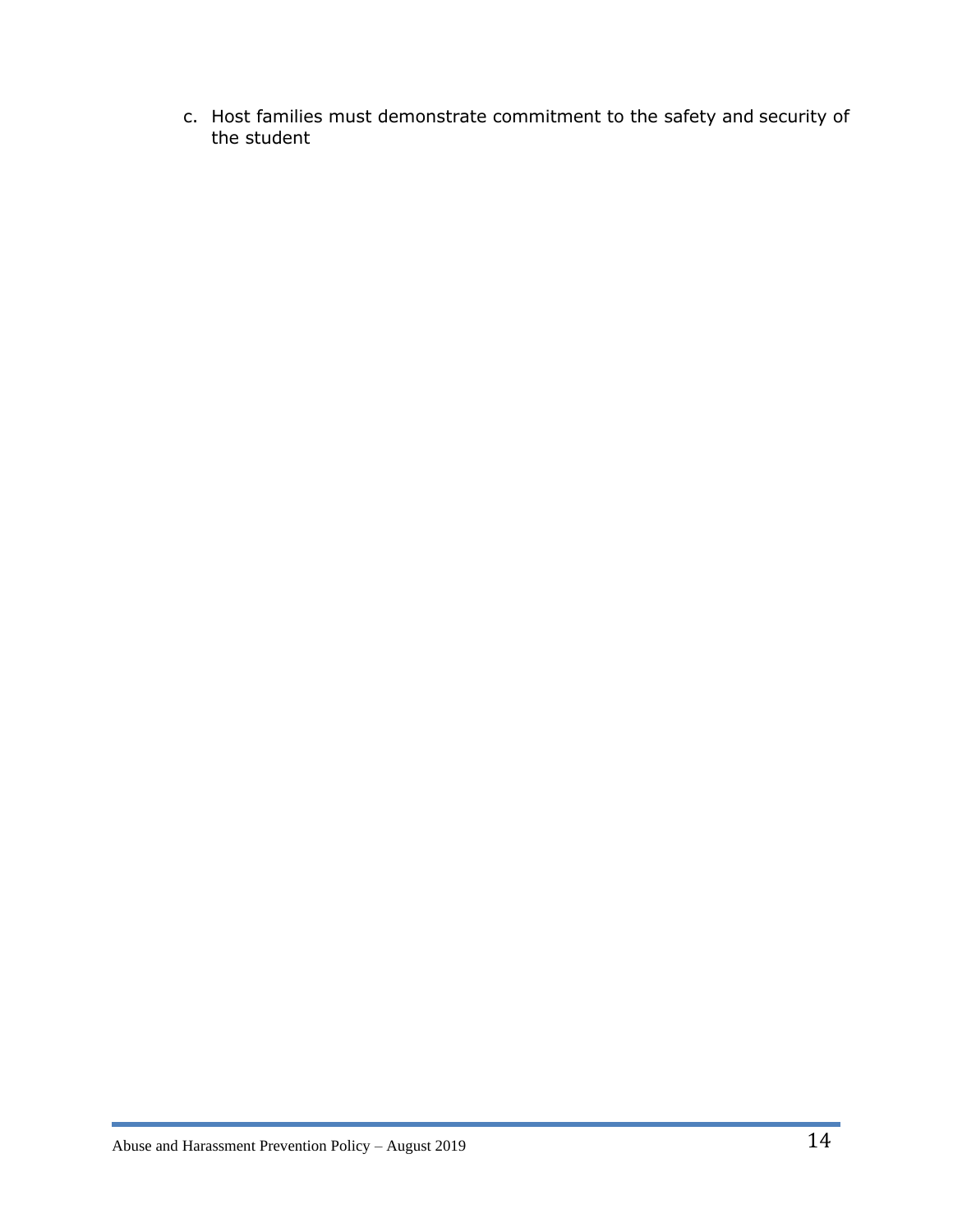c. Host families must demonstrate commitment to the safety and security of the student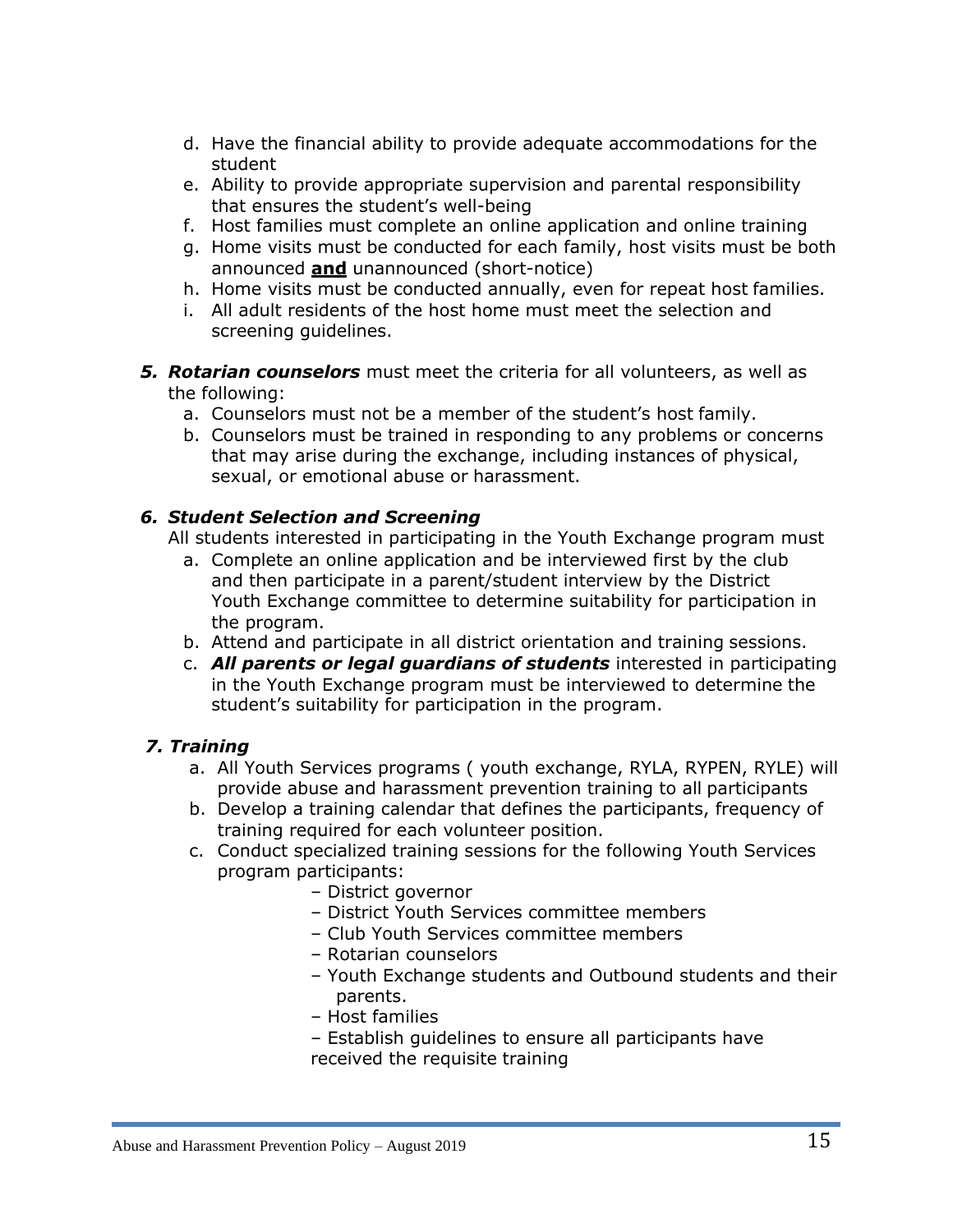- d. Have the financial ability to provide adequate accommodations for the student
- e. Ability to provide appropriate supervision and parental responsibility that ensures the student's well-being
- f. Host families must complete an online application and online training
- g. Home visits must be conducted for each family, host visits must be both announced **and** unannounced (short-notice)
- h. Home visits must be conducted annually, even for repeat host families.
- i. All adult residents of the host home must meet the selection and screening guidelines.
- *5. Rotarian counselors* must meet the criteria for all volunteers, as well as the following:
	- a. Counselors must not be a member of the student's host family.
	- b. Counselors must be trained in responding to any problems or concerns that may arise during the exchange, including instances of physical, sexual, or emotional abuse or harassment.

## *6. Student Selection and Screening*

All students interested in participating in the Youth Exchange program must

- a. Complete an online application and be interviewed first by the club and then participate in a parent/student interview by the District Youth Exchange committee to determine suitability for participation in the program.
- b. Attend and participate in all district orientation and training sessions.
- c. *All parents or legal guardians of students* interested in participating in the Youth Exchange program must be interviewed to determine the student's suitability for participation in the program.

## *7. Training*

- a. All Youth Services programs ( youth exchange, RYLA, RYPEN, RYLE) will provide abuse and harassment prevention training to all participants
- b. Develop a training calendar that defines the participants, frequency of training required for each volunteer position.
- c. Conduct specialized training sessions for the following Youth Services program participants:
	- District governor
	- District Youth Services committee members
	- Club Youth Services committee members
	- Rotarian counselors
	- Youth Exchange students and Outbound students and their parents.
	- Host families
	- Establish guidelines to ensure all participants have received the requisite training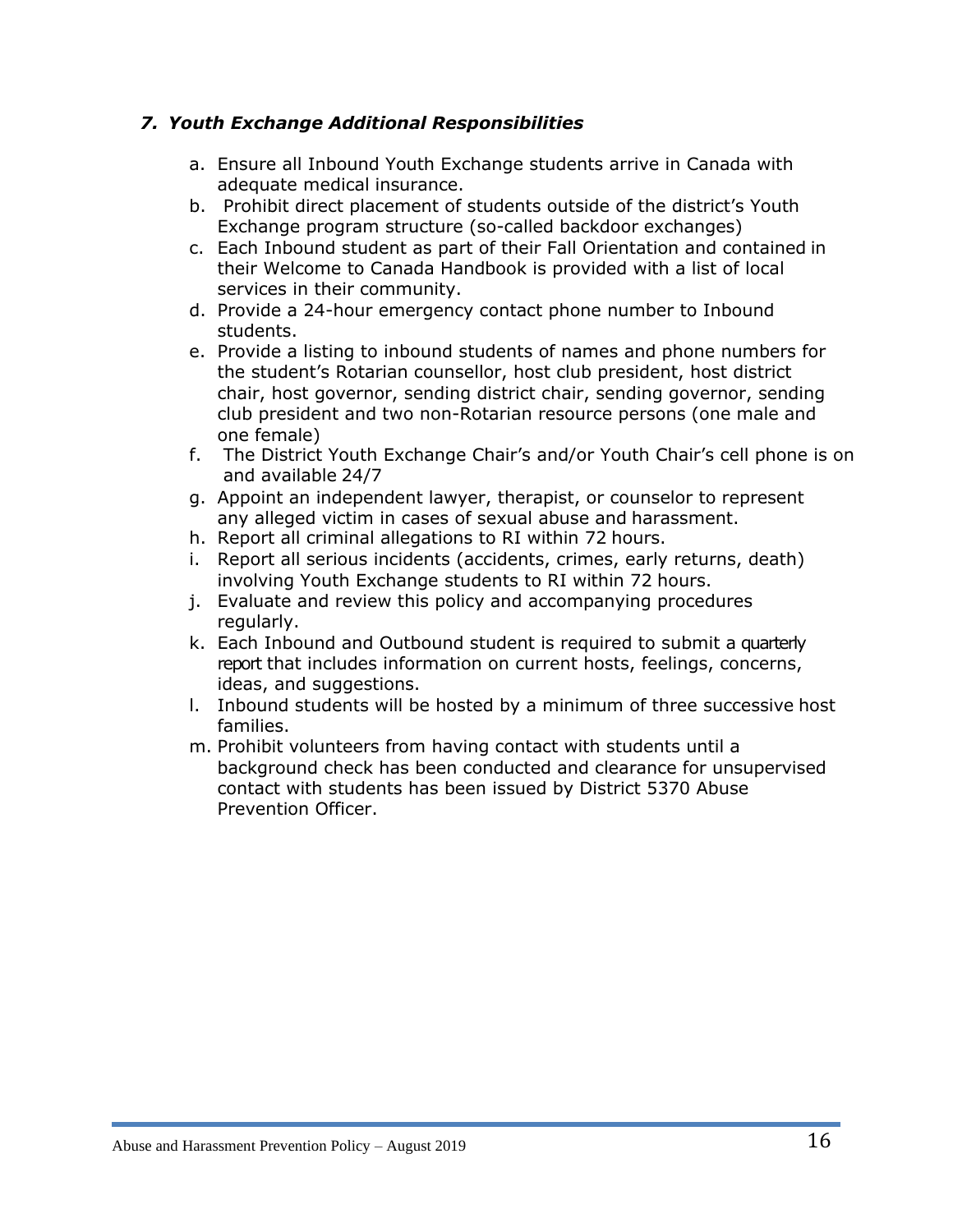## *7. Youth Exchange Additional Responsibilities*

- a. Ensure all Inbound Youth Exchange students arrive in Canada with adequate medical insurance.
- b. Prohibit direct placement of students outside of the district's Youth Exchange program structure (so-called backdoor exchanges)
- c. Each Inbound student as part of their Fall Orientation and contained in their Welcome to Canada Handbook is provided with a list of local services in their community.
- d. Provide a 24-hour emergency contact phone number to Inbound students.
- e. Provide a listing to inbound students of names and phone numbers for the student's Rotarian counsellor, host club president, host district chair, host governor, sending district chair, sending governor, sending club president and two non-Rotarian resource persons (one male and one female)
- f. The District Youth Exchange Chair's and/or Youth Chair's cell phone is on and available 24/7
- g. Appoint an independent lawyer, therapist, or counselor to represent any alleged victim in cases of sexual abuse and harassment.
- h. Report all criminal allegations to RI within 72 hours.
- i. Report all serious incidents (accidents, crimes, early returns, death) involving Youth Exchange students to RI within 72 hours.
- j. Evaluate and review this policy and accompanying procedures regularly.
- k. Each Inbound and Outbound student is required to submit a quarterly report that includes information on current hosts, feelings, concerns, ideas, and suggestions.
- l. Inbound students will be hosted by a minimum of three successive host families.
- m. Prohibit volunteers from having contact with students until a background check has been conducted and clearance for unsupervised contact with students has been issued by District 5370 Abuse Prevention Officer.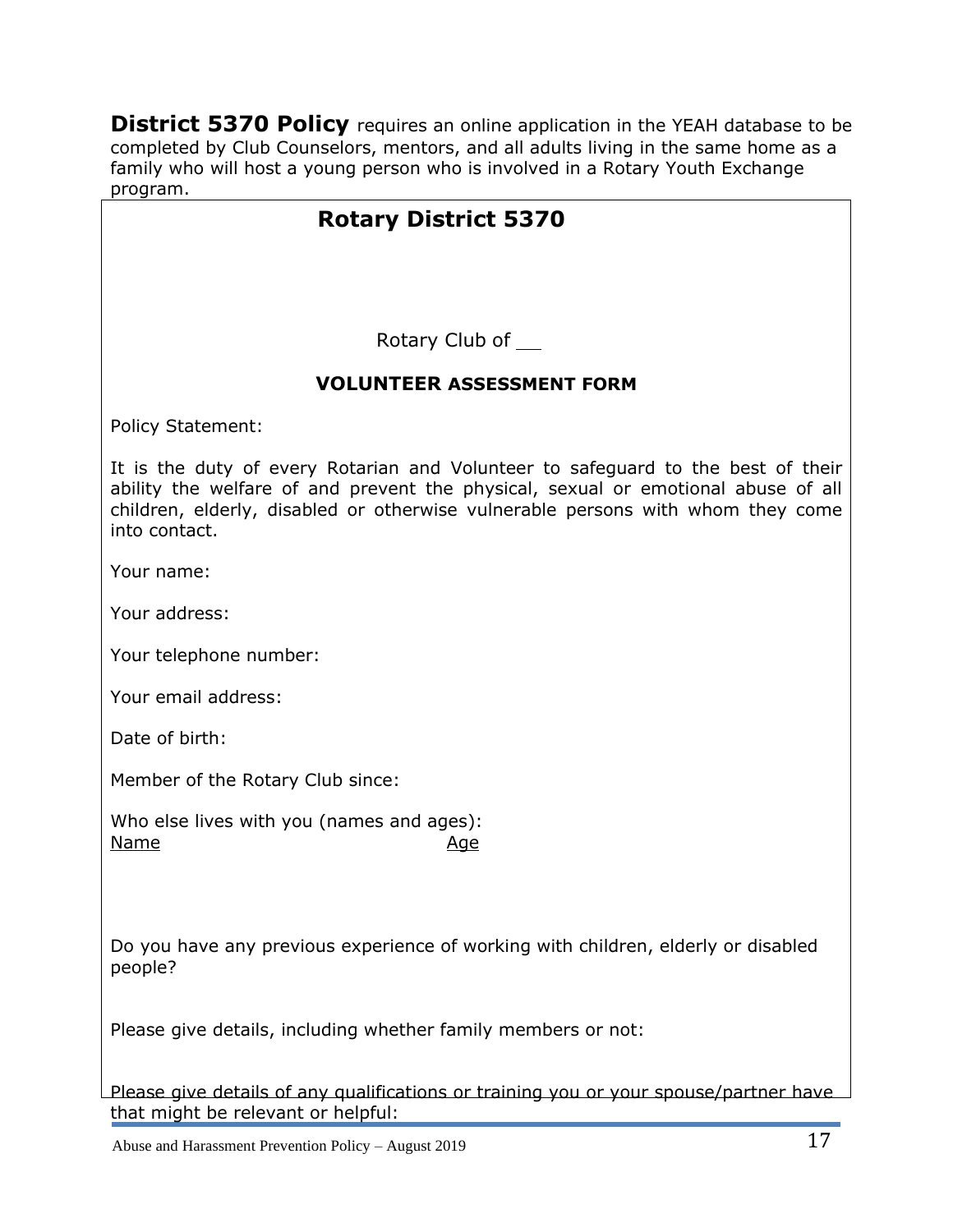**District 5370 Policy** requires an online application in the YEAH database to be completed by Club Counselors, mentors, and all adults living in the same home as a family who will host a young person who is involved in a Rotary Youth Exchange program.

# **Rotary District 5370**

Rotary Club of

## **VOLUNTEER ASSESSMENT FORM**

Policy Statement:

It is the duty of every Rotarian and Volunteer to safeguard to the best of their ability the welfare of and prevent the physical, sexual or emotional abuse of all children, elderly, disabled or otherwise vulnerable persons with whom they come into contact.

Your name:

Your address:

Your telephone number:

Your email address:

Date of birth:

Member of the Rotary Club since:

Who else lives with you (names and ages): Name Age

Do you have any previous experience of working with children, elderly or disabled people?

Please give details, including whether family members or not:

Please give details of any qualifications or training you or your spouse/partner have that might be relevant or helpful: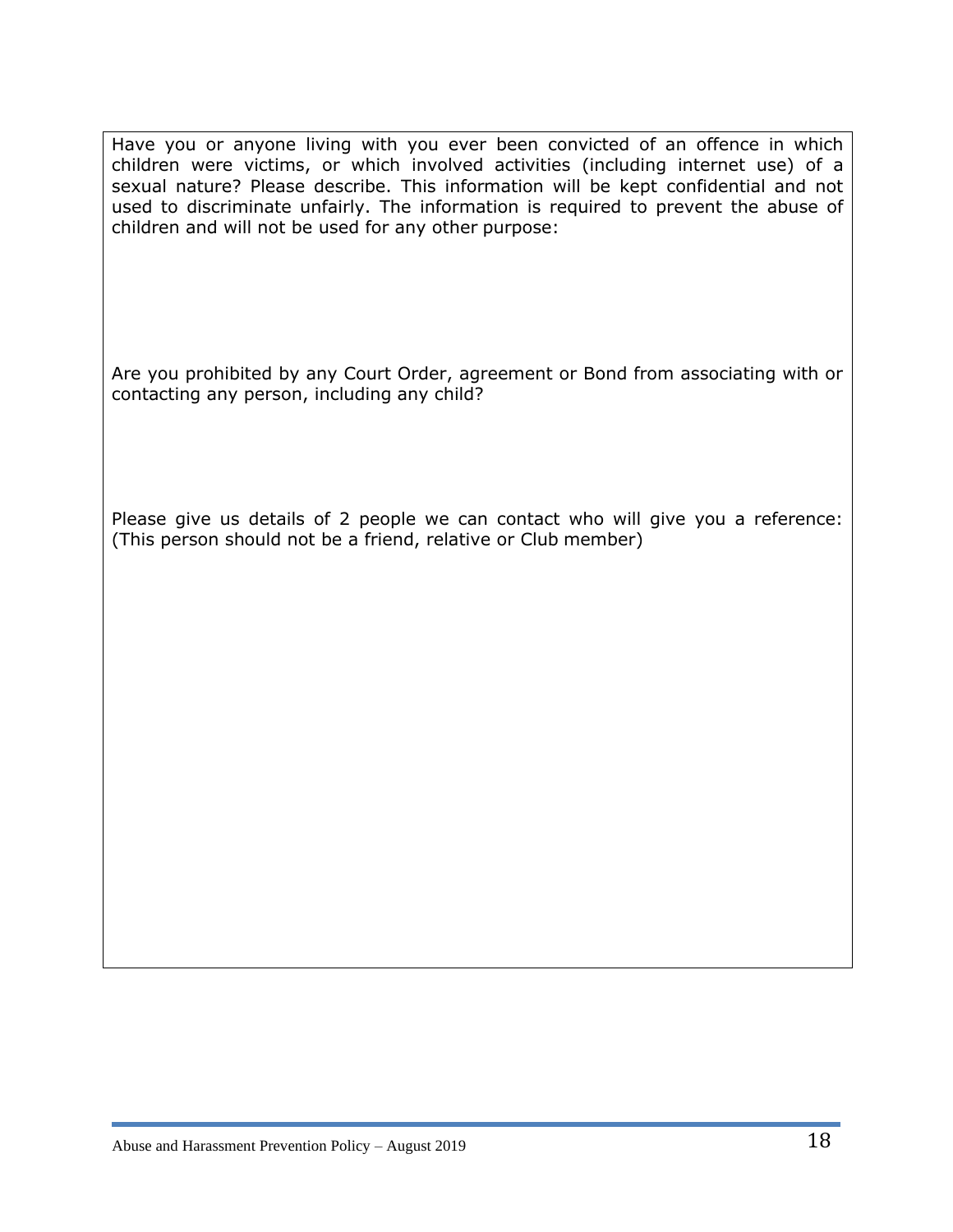Have you or anyone living with you ever been convicted of an offence in which children were victims, or which involved activities (including internet use) of a sexual nature? Please describe. This information will be kept confidential and not used to discriminate unfairly. The information is required to prevent the abuse of children and will not be used for any other purpose:

Are you prohibited by any Court Order, agreement or Bond from associating with or contacting any person, including any child?

Please give us details of 2 people we can contact who will give you a reference: (This person should not be a friend, relative or Club member)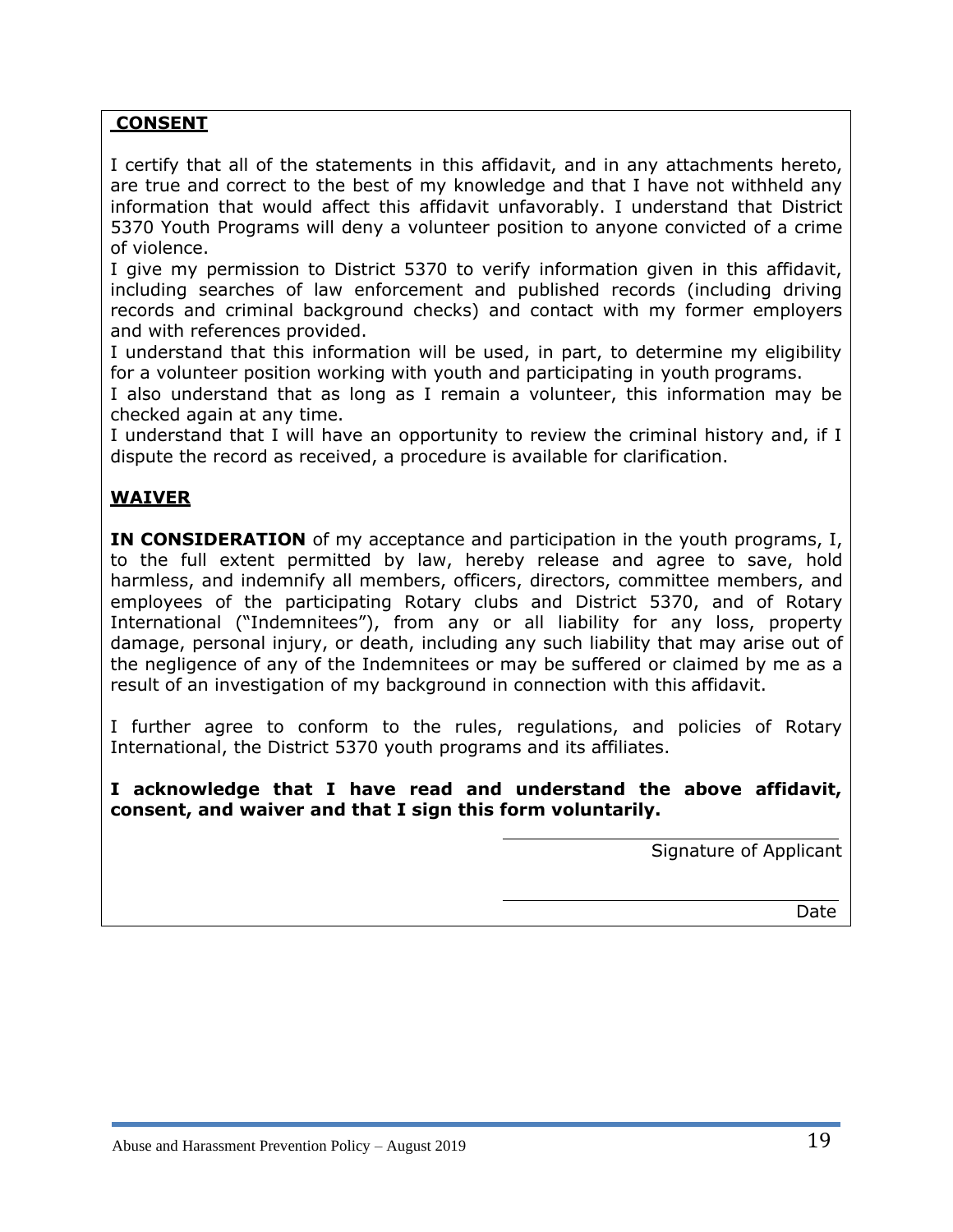#### **CONSENT**

I certify that all of the statements in this affidavit, and in any attachments hereto, are true and correct to the best of my knowledge and that I have not withheld any information that would affect this affidavit unfavorably. I understand that District 5370 Youth Programs will deny a volunteer position to anyone convicted of a crime of violence.

I give my permission to District 5370 to verify information given in this affidavit, including searches of law enforcement and published records (including driving records and criminal background checks) and contact with my former employers and with references provided.

I understand that this information will be used, in part, to determine my eligibility for a volunteer position working with youth and participating in youth programs.

I also understand that as long as I remain a volunteer, this information may be checked again at any time.

I understand that I will have an opportunity to review the criminal history and, if I dispute the record as received, a procedure is available for clarification.

## **WAIVER**

**IN CONSIDERATION** of my acceptance and participation in the youth programs, I, to the full extent permitted by law, hereby release and agree to save, hold harmless, and indemnify all members, officers, directors, committee members, and employees of the participating Rotary clubs and District 5370, and of Rotary International ("Indemnitees"), from any or all liability for any loss, property damage, personal injury, or death, including any such liability that may arise out of the negligence of any of the Indemnitees or may be suffered or claimed by me as a result of an investigation of my background in connection with this affidavit.

I further agree to conform to the rules, regulations, and policies of Rotary International, the District 5370 youth programs and its affiliates.

#### **I acknowledge that I have read and understand the above affidavit, consent, and waiver and that I sign this form voluntarily.**

Signature of Applicant

Date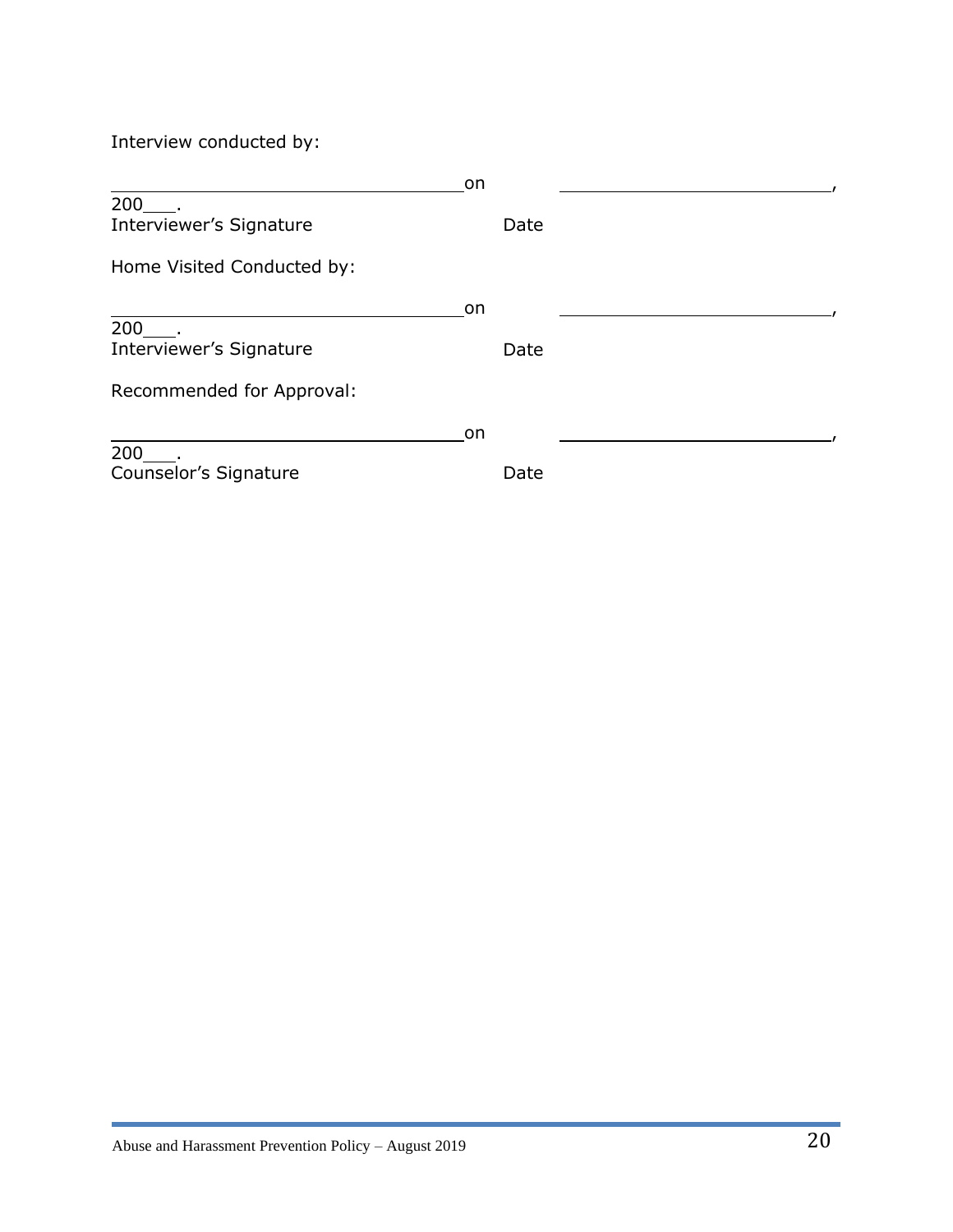Interview conducted by:

|                            | <b>on</b> |      |  |
|----------------------------|-----------|------|--|
|                            |           |      |  |
| Interviewer's Signature    |           | Date |  |
| Home Visited Conducted by: |           |      |  |
|                            | on.       |      |  |
| 200                        |           |      |  |
| Interviewer's Signature    |           | Date |  |
| Recommended for Approval:  |           |      |  |
|                            | <b>on</b> |      |  |
| 200                        |           |      |  |
| Counselor's Signature      |           | Date |  |